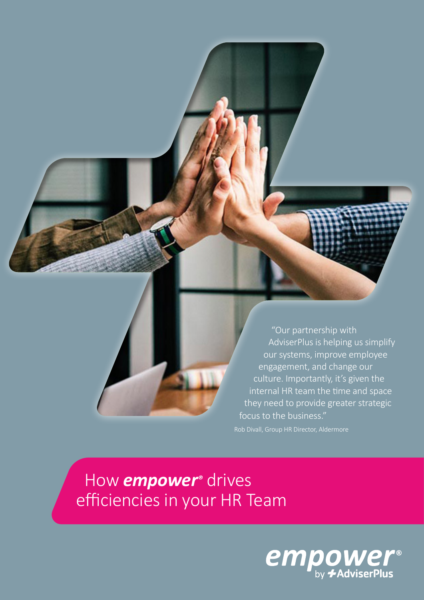"Our partnership with AdviserPlus is helping us simplify our systems, improve employee engagement, and change our culture. Importantly, it's given the internal HR team the time and space they need to provide greater strategic focus to the business."

 How *empower®* drives efficiencies in your HR Team